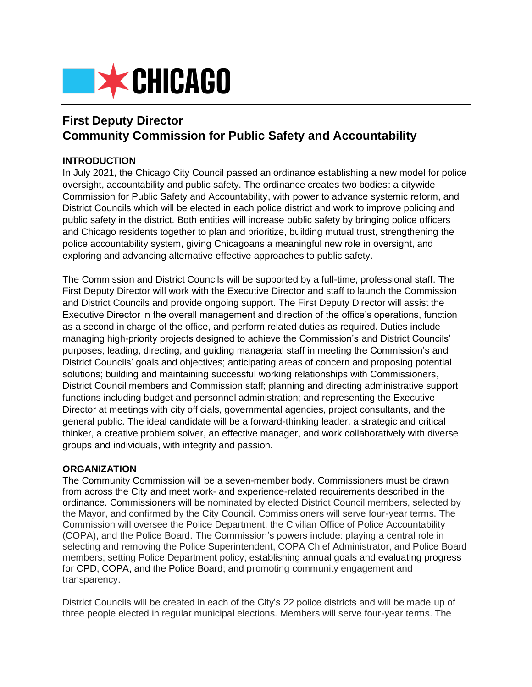

# **First Deputy Director Community Commission for Public Safety and Accountability**

### **INTRODUCTION**

In July 2021, the Chicago City Council passed an ordinance establishing a new model for police oversight, accountability and public safety. The ordinance creates two bodies: a citywide Commission for Public Safety and Accountability, with power to advance systemic reform, and District Councils which will be elected in each police district and work to improve policing and public safety in the district. Both entities will increase public safety by bringing police officers and Chicago residents together to plan and prioritize, building mutual trust, strengthening the police accountability system, giving Chicagoans a meaningful new role in oversight, and exploring and advancing alternative effective approaches to public safety.

The Commission and District Councils will be supported by a full-time, professional staff. The First Deputy Director will work with the Executive Director and staff to launch the Commission and District Councils and provide ongoing support. The First Deputy Director will assist the Executive Director in the overall management and direction of the office's operations, function as a second in charge of the office, and perform related duties as required. Duties include managing high-priority projects designed to achieve the Commission's and District Councils' purposes; leading, directing, and guiding managerial staff in meeting the Commission's and District Councils' goals and objectives; anticipating areas of concern and proposing potential solutions; building and maintaining successful working relationships with Commissioners, District Council members and Commission staff; planning and directing administrative support functions including budget and personnel administration; and representing the Executive Director at meetings with city officials, governmental agencies, project consultants, and the general public. The ideal candidate will be a forward-thinking leader, a strategic and critical thinker, a creative problem solver, an effective manager, and work collaboratively with diverse groups and individuals, with integrity and passion.

#### **ORGANIZATION**

The Community Commission will be a seven-member body. Commissioners must be drawn from across the City and meet work- and experience-related requirements described in the ordinance. Commissioners will be nominated by elected District Council members, selected by the Mayor, and confirmed by the City Council. Commissioners will serve four-year terms. The Commission will oversee the Police Department, the Civilian Office of Police Accountability (COPA), and the Police Board. The Commission's powers include: playing a central role in selecting and removing the Police Superintendent, COPA Chief Administrator, and Police Board members; setting Police Department policy; establishing annual goals and evaluating progress for CPD, COPA, and the Police Board; and promoting community engagement and transparency.

District Councils will be created in each of the City's 22 police districts and will be made up of three people elected in regular municipal elections. Members will serve four-year terms. The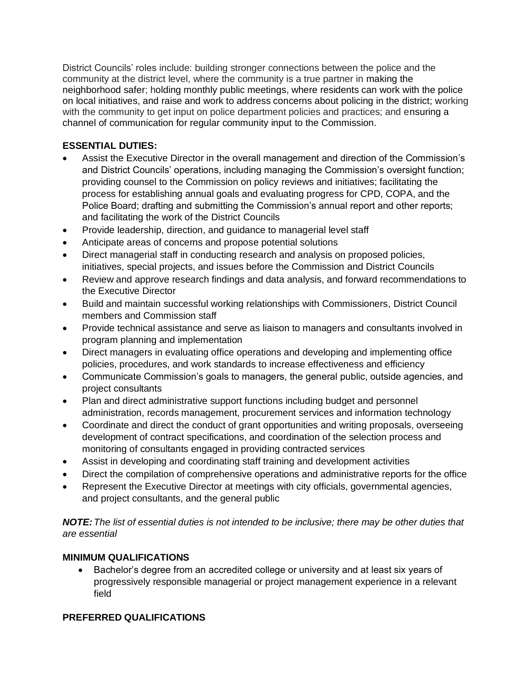District Councils' roles include: building stronger connections between the police and the community at the district level, where the community is a true partner in making the neighborhood safer; holding monthly public meetings, where residents can work with the police on local initiatives, and raise and work to address concerns about policing in the district; working with the community to get input on police department policies and practices; and ensuring a channel of communication for regular community input to the Commission.

## **ESSENTIAL DUTIES:**

- Assist the Executive Director in the overall management and direction of the Commission's and District Councils' operations, including managing the Commission's oversight function; providing counsel to the Commission on policy reviews and initiatives; facilitating the process for establishing annual goals and evaluating progress for CPD, COPA, and the Police Board; drafting and submitting the Commission's annual report and other reports; and facilitating the work of the District Councils
- Provide leadership, direction, and guidance to managerial level staff
- Anticipate areas of concerns and propose potential solutions
- Direct managerial staff in conducting research and analysis on proposed policies, initiatives, special projects, and issues before the Commission and District Councils
- Review and approve research findings and data analysis, and forward recommendations to the Executive Director
- Build and maintain successful working relationships with Commissioners, District Council members and Commission staff
- Provide technical assistance and serve as liaison to managers and consultants involved in program planning and implementation
- Direct managers in evaluating office operations and developing and implementing office policies, procedures, and work standards to increase effectiveness and efficiency
- Communicate Commission's goals to managers, the general public, outside agencies, and project consultants
- Plan and direct administrative support functions including budget and personnel administration, records management, procurement services and information technology
- Coordinate and direct the conduct of grant opportunities and writing proposals, overseeing development of contract specifications, and coordination of the selection process and monitoring of consultants engaged in providing contracted services
- Assist in developing and coordinating staff training and development activities
- Direct the compilation of comprehensive operations and administrative reports for the office
- Represent the Executive Director at meetings with city officials, governmental agencies, and project consultants, and the general public

*NOTE:The list of essential duties is not intended to be inclusive; there may be other duties that are essential*

# **MINIMUM QUALIFICATIONS**

• Bachelor's degree from an accredited college or university and at least six years of progressively responsible managerial or project management experience in a relevant field

# **PREFERRED QUALIFICATIONS**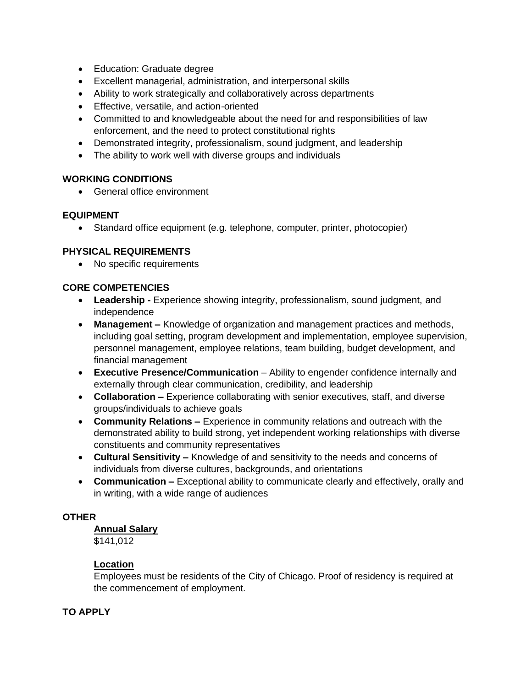- Education: Graduate degree
- Excellent managerial, administration, and interpersonal skills
- Ability to work strategically and collaboratively across departments
- Effective, versatile, and action-oriented
- Committed to and knowledgeable about the need for and responsibilities of law enforcement, and the need to protect constitutional rights
- Demonstrated integrity, professionalism, sound judgment, and leadership
- The ability to work well with diverse groups and individuals

#### **WORKING CONDITIONS**

• General office environment

#### **EQUIPMENT**

• Standard office equipment (e.g. telephone, computer, printer, photocopier)

#### **PHYSICAL REQUIREMENTS**

• No specific requirements

#### **CORE COMPETENCIES**

- **Leadership -** Experience showing integrity, professionalism, sound judgment, and independence
- **Management –** Knowledge of organization and management practices and methods, including goal setting, program development and implementation, employee supervision, personnel management, employee relations, team building, budget development, and financial management
- **Executive Presence/Communication** Ability to engender confidence internally and externally through clear communication, credibility, and leadership
- **Collaboration –** Experience collaborating with senior executives, staff, and diverse groups/individuals to achieve goals
- **Community Relations –** Experience in community relations and outreach with the demonstrated ability to build strong, yet independent working relationships with diverse constituents and community representatives
- **Cultural Sensitivity –** Knowledge of and sensitivity to the needs and concerns of individuals from diverse cultures, backgrounds, and orientations
- **Communication –** Exceptional ability to communicate clearly and effectively, orally and in writing, with a wide range of audiences

### **OTHER**

## **Annual Salary**

\$141,012

#### **Location**

Employees must be residents of the City of Chicago. Proof of residency is required at the commencement of employment.

#### **TO APPLY**